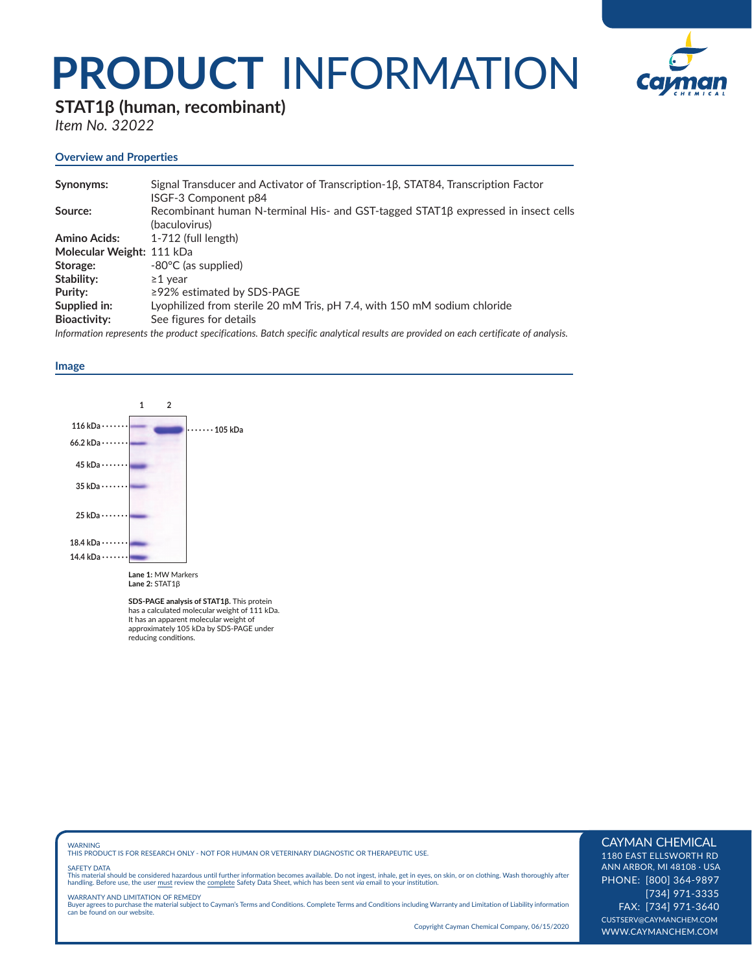# **PRODUCT** INFORMATION



# **STAT1β (human, recombinant)**

*Item No. 32022*

# **Overview and Properties**

| Synonyms:                 | Signal Transducer and Activator of Transcription-1β, STAT84, Transcription Factor<br>ISGF-3 Component p84                          |
|---------------------------|------------------------------------------------------------------------------------------------------------------------------------|
| Source:                   | Recombinant human N-terminal His- and GST-tagged STAT1B expressed in insect cells<br>(baculovirus)                                 |
| <b>Amino Acids:</b>       | 1-712 (full length)                                                                                                                |
| Molecular Weight: 111 kDa |                                                                                                                                    |
| Storage:                  | $-80^{\circ}$ C (as supplied)                                                                                                      |
| Stability:                | $\geq$ 1 vear                                                                                                                      |
| Purity:                   | $\geq$ 92% estimated by SDS-PAGE                                                                                                   |
| Supplied in:              | Lyophilized from sterile 20 mM Tris, pH 7.4, with 150 mM sodium chloride                                                           |
| <b>Bioactivity:</b>       | See figures for details                                                                                                            |
|                           | Information represents the product specifications. Batch specific analytical results are provided on each certificate of analysis. |

## **Image**



**SDS-PAGE analysis of STAT1β.** This protein has a calculated molecular weight of 111 kDa. It has an apparent molecular weight of approximately 105 kDa by SDS-PAGE under reducing conditions.

WARNING THIS PRODUCT IS FOR RESEARCH ONLY - NOT FOR HUMAN OR VETERINARY DIAGNOSTIC OR THERAPEUTIC USE.

### SAFETY DATA

This material should be considered hazardous until further information becomes available. Do not ingest, inhale, get in eyes, on skin, or on clothing. Wash thoroughly after<br>handling. Before use, the user must review the co

WARRANTY AND LIMITATION OF REMEDY Buyer agrees to purchase the material subject to Cayman's Terms and Conditions. Complete Terms and Conditions including Warranty and Limitation of Liability information can be found on our website.

Copyright Cayman Chemical Company, 06/15/2020

# CAYMAN CHEMICAL

1180 EAST ELLSWORTH RD ANN ARBOR, MI 48108 · USA PHONE: [800] 364-9897 [734] 971-3335 FAX: [734] 971-3640 CUSTSERV@CAYMANCHEM.COM WWW.CAYMANCHEM.COM